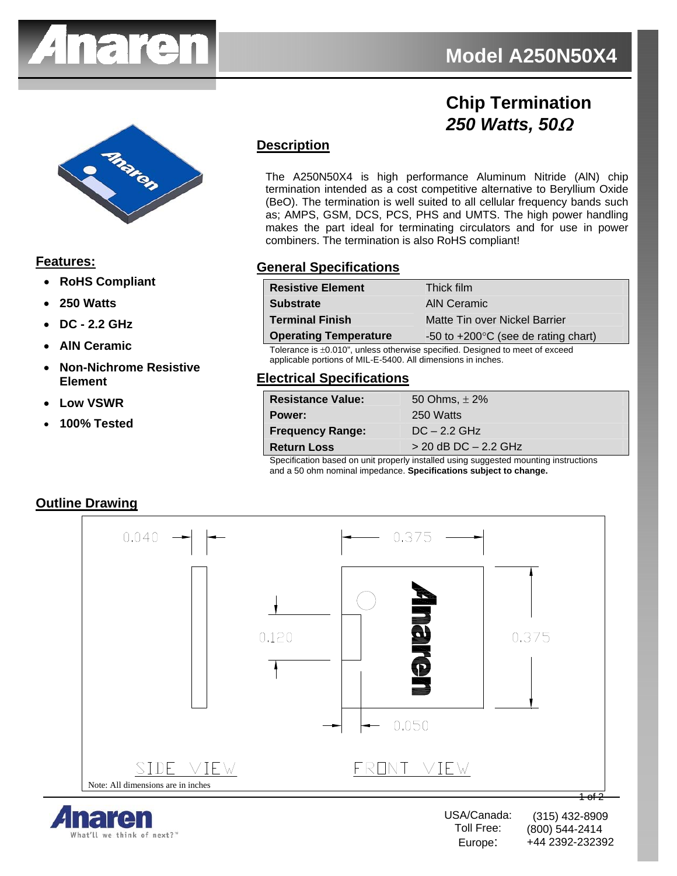

# **Chip Termination**  *250 Watts, 50*Ω



**Features:**

- **RoHS Compliant**
- **250 Watts**
- **DC 2.2 GHz**
- **AlN Ceramic**
- **Non-Nichrome Resistive Element**
- **Low VSWR**
- **100% Tested**

## **Description**

The A250N50X4 is high performance Aluminum Nitride (AlN) chip termination intended as a cost competitive alternative to Beryllium Oxide (BeO). The termination is well suited to all cellular frequency bands such as; AMPS, GSM, DCS, PCS, PHS and UMTS. The high power handling makes the part ideal for terminating circulators and for use in power combiners. The termination is also RoHS compliant!

#### **General Specifications**

| <b>Resistive Element</b>     | Thick film                                    |
|------------------------------|-----------------------------------------------|
| <b>Substrate</b>             | AIN Ceramic                                   |
| <b>Terminal Finish</b>       | Matte Tin over Nickel Barrier                 |
| <b>Operating Temperature</b> | -50 to $+200^{\circ}$ C (see de rating chart) |

Tolerance is ±0.010", unless otherwise specified. Designed to meet of exceed applicable portions of MIL-E-5400. All dimensions in inches.

#### **Electrical Specifications**

| <b>Resistance Value:</b> | 50 Ohms, $\pm 2\%$       |
|--------------------------|--------------------------|
| Power:                   | 250 Watts                |
| <b>Frequency Range:</b>  | $DC - 2.2 GHz$           |
| <b>Return Loss</b>       | $>$ 20 dB DC $-$ 2.2 GHz |
|                          |                          |

Specification based on unit properly installed using suggested mounting instructions and a 50 ohm nominal impedance. **Specifications subject to change.**